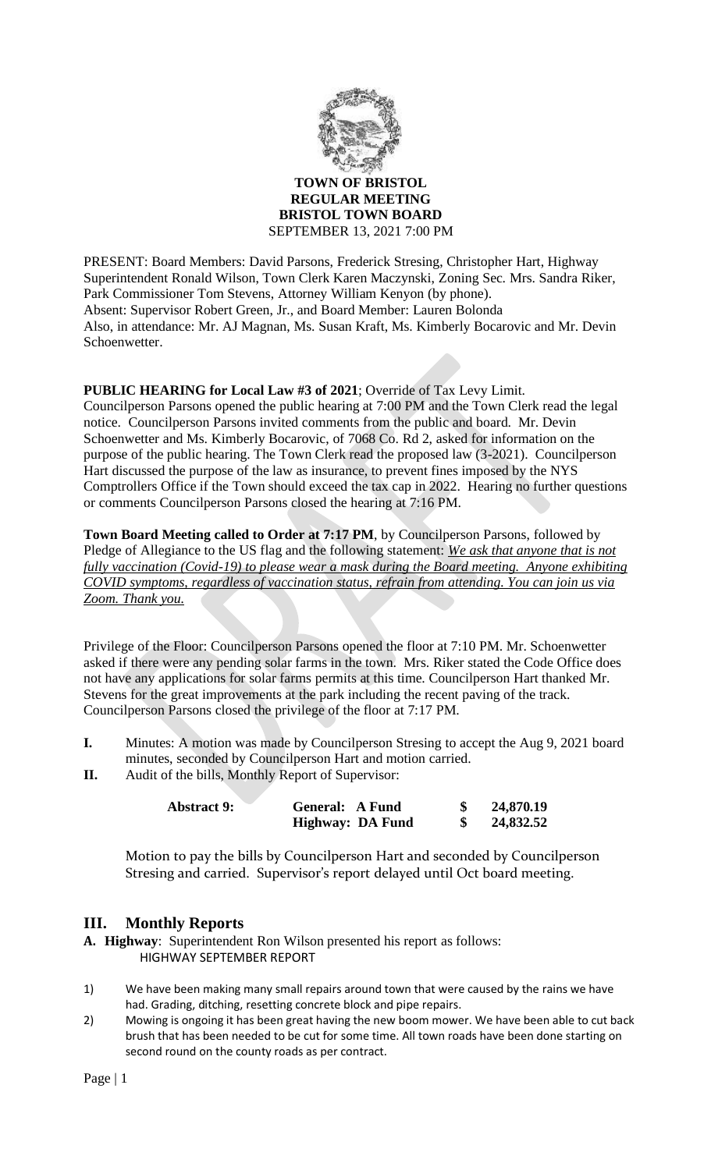

**TOWN OF BRISTOL REGULAR MEETING BRISTOL TOWN BOARD** SEPTEMBER 13, 2021 7:00 PM

PRESENT: Board Members: David Parsons, Frederick Stresing, Christopher Hart, Highway Superintendent Ronald Wilson, Town Clerk Karen Maczynski, Zoning Sec. Mrs. Sandra Riker, Park Commissioner Tom Stevens, Attorney William Kenyon (by phone). Absent: Supervisor Robert Green, Jr., and Board Member: Lauren Bolonda Also, in attendance: Mr. AJ Magnan, Ms. Susan Kraft, Ms. Kimberly Bocarovic and Mr. Devin Schoenwetter.

# **PUBLIC HEARING for Local Law #3 of 2021**; Override of Tax Levy Limit.

Councilperson Parsons opened the public hearing at 7:00 PM and the Town Clerk read the legal notice. Councilperson Parsons invited comments from the public and board. Mr. Devin Schoenwetter and Ms. Kimberly Bocarovic, of 7068 Co. Rd 2, asked for information on the purpose of the public hearing. The Town Clerk read the proposed law (3-2021). Councilperson Hart discussed the purpose of the law as insurance, to prevent fines imposed by the NYS Comptrollers Office if the Town should exceed the tax cap in 2022. Hearing no further questions or comments Councilperson Parsons closed the hearing at 7:16 PM.

**Town Board Meeting called to Order at 7:17 PM**, by Councilperson Parsons, followed by Pledge of Allegiance to the US flag and the following statement: *We ask that anyone that is not fully vaccination (Covid-19) to please wear a mask during the Board meeting. Anyone exhibiting COVID symptoms, regardless of vaccination status, refrain from attending. You can join us via Zoom. Thank you.*

Privilege of the Floor: Councilperson Parsons opened the floor at 7:10 PM. Mr. Schoenwetter asked if there were any pending solar farms in the town. Mrs. Riker stated the Code Office does not have any applications for solar farms permits at this time. Councilperson Hart thanked Mr. Stevens for the great improvements at the park including the recent paving of the track. Councilperson Parsons closed the privilege of the floor at 7:17 PM.

- **I.** Minutes: A motion was made by Councilperson Stresing to accept the Aug 9, 2021 board minutes, seconded by Councilperson Hart and motion carried.
- **II.** Audit of the bills, Monthly Report of Supervisor:

| <b>Abstract 9:</b> | <b>General: A Fund</b>  |  | 24,870.19 |
|--------------------|-------------------------|--|-----------|
|                    | <b>Highway: DA Fund</b> |  | 24,832.52 |

Motion to pay the bills by Councilperson Hart and seconded by Councilperson Stresing and carried. Supervisor's report delayed until Oct board meeting.

# **III. Monthly Reports**

- **A. Highway**: Superintendent Ron Wilson presented his report as follows: HIGHWAY SEPTEMBER REPORT
- 1) We have been making many small repairs around town that were caused by the rains we have had. Grading, ditching, resetting concrete block and pipe repairs.
- 2) Mowing is ongoing it has been great having the new boom mower. We have been able to cut back brush that has been needed to be cut for some time. All town roads have been done starting on second round on the county roads as per contract.

Page | 1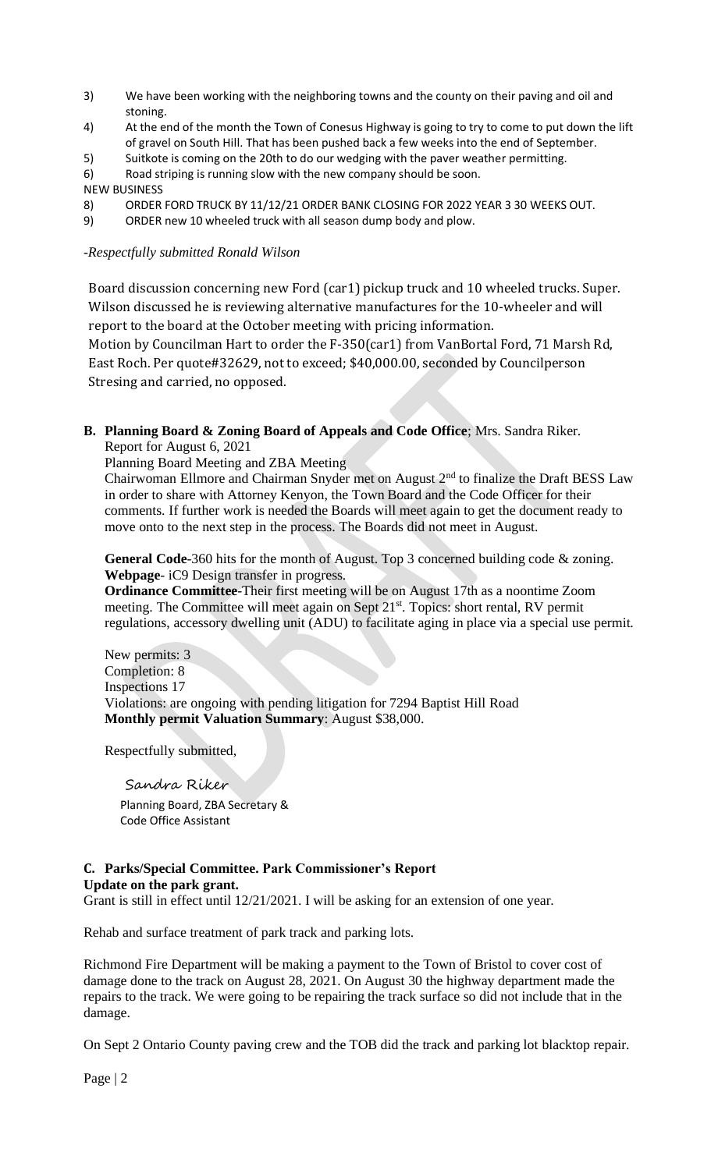- 3) We have been working with the neighboring towns and the county on their paving and oil and stoning.
- 4) At the end of the month the Town of Conesus Highway is going to try to come to put down the lift of gravel on South Hill. That has been pushed back a few weeks into the end of September.
- 5) Suitkote is coming on the 20th to do our wedging with the paver weather permitting.
- 6) Road striping is running slow with the new company should be soon.
- NEW BUSINESS
- 8) ORDER FORD TRUCK BY 11/12/21 ORDER BANK CLOSING FOR 2022 YEAR 3 30 WEEKS OUT.
- 9) ORDER new 10 wheeled truck with all season dump body and plow.

#### -*Respectfully submitted Ronald Wilson*

Board discussion concerning new Ford (car1) pickup truck and 10 wheeled trucks. Super. Wilson discussed he is reviewing alternative manufactures for the 10-wheeler and will report to the board at the October meeting with pricing information.

Motion by Councilman Hart to order the F-350(car1) from VanBortal Ford, 71 Marsh Rd, East Roch. Per quote#32629, not to exceed; \$40,000.00, seconded by Councilperson Stresing and carried, no opposed.

## **B. Planning Board & Zoning Board of Appeals and Code Office**; Mrs. Sandra Riker.

Report for August 6, 2021

Planning Board Meeting and ZBA Meeting

Chairwoman Ellmore and Chairman Snyder met on August  $2<sup>nd</sup>$  to finalize the Draft BESS Law in order to share with Attorney Kenyon, the Town Board and the Code Officer for their comments. If further work is needed the Boards will meet again to get the document ready to move onto to the next step in the process. The Boards did not meet in August.

**General Code**-360 hits for the month of August. Top 3 concerned building code & zoning. **Webpage**- iC9 Design transfer in progress.

**Ordinance Committee**-Their first meeting will be on August 17th as a noontime Zoom meeting. The Committee will meet again on Sept 21<sup>st</sup>. Topics: short rental, RV permit regulations, accessory dwelling unit (ADU) to facilitate aging in place via a special use permit.

New permits: 3 Completion: 8 Inspections 17 Violations: are ongoing with pending litigation for 7294 Baptist Hill Road **Monthly permit Valuation Summary**: August \$38,000.

Respectfully submitted,

Sandra Riker Planning Board, ZBA Secretary & Code Office Assistant

#### **C. Parks/Special Committee. Park Commissioner's Report Update on the park grant.**

Grant is still in effect until 12/21/2021. I will be asking for an extension of one year.

Rehab and surface treatment of park track and parking lots.

Richmond Fire Department will be making a payment to the Town of Bristol to cover cost of damage done to the track on August 28, 2021. On August 30 the highway department made the repairs to the track. We were going to be repairing the track surface so did not include that in the damage.

On Sept 2 Ontario County paving crew and the TOB did the track and parking lot blacktop repair.

Page | 2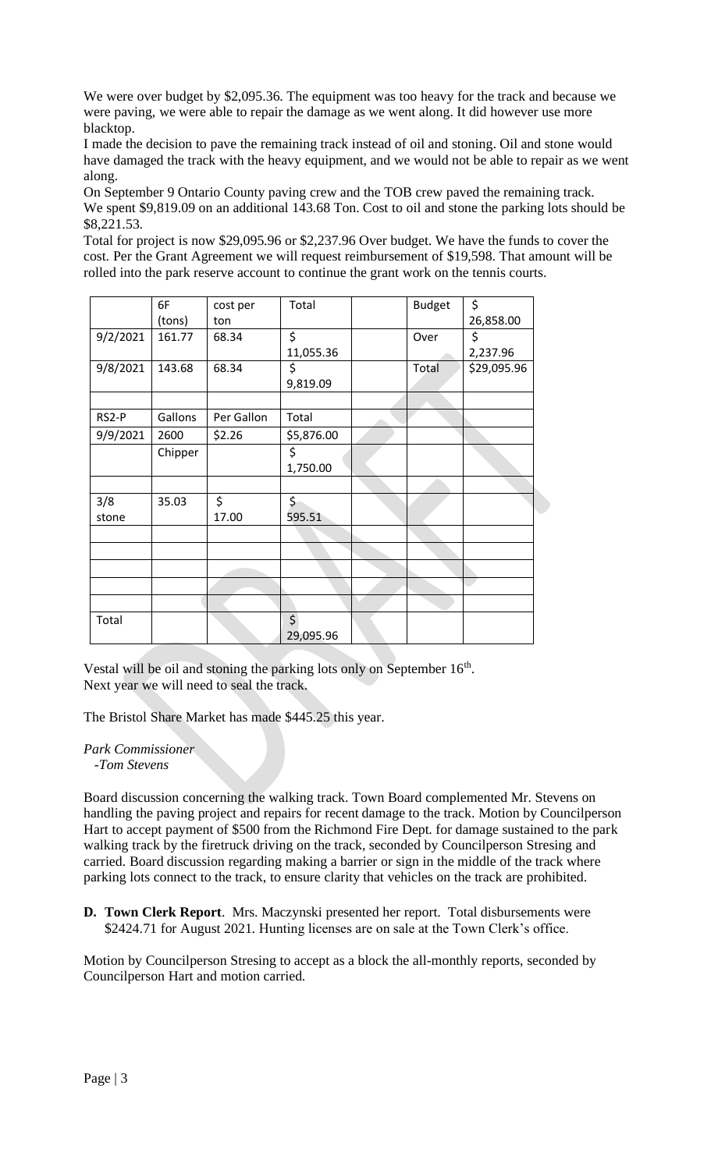We were over budget by \$2,095.36. The equipment was too heavy for the track and because we were paving, we were able to repair the damage as we went along. It did however use more blacktop.

I made the decision to pave the remaining track instead of oil and stoning. Oil and stone would have damaged the track with the heavy equipment, and we would not be able to repair as we went along.

On September 9 Ontario County paving crew and the TOB crew paved the remaining track. We spent \$9,819.09 on an additional 143.68 Ton. Cost to oil and stone the parking lots should be \$8,221.53.

Total for project is now \$29,095.96 or \$2,237.96 Over budget. We have the funds to cover the cost. Per the Grant Agreement we will request reimbursement of \$19,598. That amount will be rolled into the park reserve account to continue the grant work on the tennis courts.

|          | 6F      | cost per   | Total      | <b>Budget</b> | \$          |
|----------|---------|------------|------------|---------------|-------------|
|          | (tons)  | ton        |            |               | 26,858.00   |
| 9/2/2021 | 161.77  | 68.34      | \$         | Over          | \$          |
|          |         |            | 11,055.36  |               | 2,237.96    |
| 9/8/2021 | 143.68  | 68.34      | \$         | Total         | \$29,095.96 |
|          |         |            | 9,819.09   |               |             |
|          |         |            |            |               |             |
| RS2-P    | Gallons | Per Gallon | Total      |               |             |
| 9/9/2021 | 2600    | \$2.26     | \$5,876.00 |               |             |
|          | Chipper |            | \$         |               |             |
|          |         |            | 1,750.00   |               |             |
|          |         |            |            |               |             |
| 3/8      | 35.03   | \$         | \$         |               |             |
| stone    |         | 17.00      | 595.51     |               |             |
|          |         |            |            |               |             |
|          |         |            |            |               |             |
|          |         |            |            |               |             |
|          |         |            |            |               |             |
|          |         |            |            |               |             |
| Total    |         |            | \$         |               |             |
|          |         |            | 29,095.96  |               |             |

Vestal will be oil and stoning the parking lots only on September 16<sup>th</sup>. Next year we will need to seal the track.

The Bristol Share Market has made \$445.25 this year.

*Park Commissioner*

 *-Tom Stevens*

Board discussion concerning the walking track. Town Board complemented Mr. Stevens on handling the paving project and repairs for recent damage to the track. Motion by Councilperson Hart to accept payment of \$500 from the Richmond Fire Dept. for damage sustained to the park walking track by the firetruck driving on the track, seconded by Councilperson Stresing and carried. Board discussion regarding making a barrier or sign in the middle of the track where parking lots connect to the track, to ensure clarity that vehicles on the track are prohibited.

**D. Town Clerk Report**. Mrs. Maczynski presented her report. Total disbursements were \$2424.71 for August 2021. Hunting licenses are on sale at the Town Clerk's office.

Motion by Councilperson Stresing to accept as a block the all-monthly reports, seconded by Councilperson Hart and motion carried.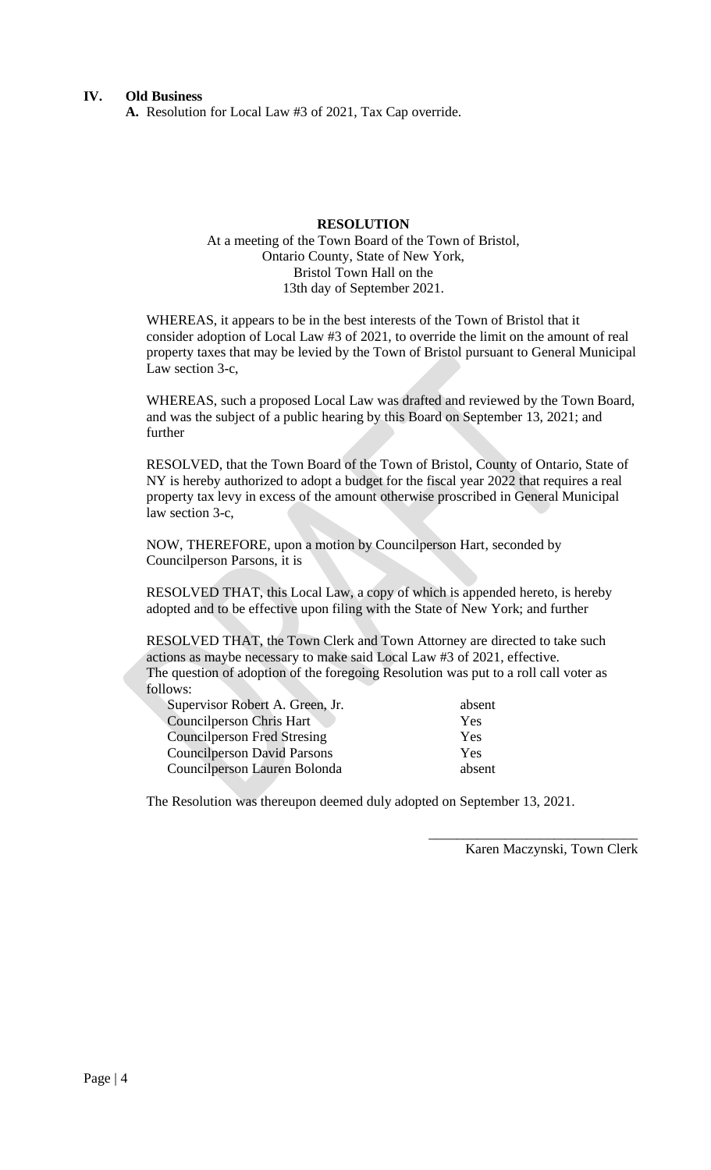**A.** Resolution for Local Law #3 of 2021, Tax Cap override.

# **RESOLUTION**

# At a meeting of the Town Board of the Town of Bristol, Ontario County, State of New York, Bristol Town Hall on the 13th day of September 2021.

WHEREAS, it appears to be in the best interests of the Town of Bristol that it consider adoption of Local Law #3 of 2021, to override the limit on the amount of real property taxes that may be levied by the Town of Bristol pursuant to General Municipal Law section 3-c,

WHEREAS, such a proposed Local Law was drafted and reviewed by the Town Board, and was the subject of a public hearing by this Board on September 13, 2021; and further

RESOLVED, that the Town Board of the Town of Bristol, County of Ontario, State of NY is hereby authorized to adopt a budget for the fiscal year 2022 that requires a real property tax levy in excess of the amount otherwise proscribed in General Municipal law section 3-c,

NOW, THEREFORE, upon a motion by Councilperson Hart, seconded by Councilperson Parsons, it is

RESOLVED THAT, this Local Law, a copy of which is appended hereto, is hereby adopted and to be effective upon filing with the State of New York; and further

RESOLVED THAT, the Town Clerk and Town Attorney are directed to take such actions as maybe necessary to make said Local Law #3 of 2021, effective. The question of adoption of the foregoing Resolution was put to a roll call voter as follows:

| Supervisor Robert A. Green, Jr.    | absent |
|------------------------------------|--------|
| Councilperson Chris Hart           | Yes    |
| <b>Councilperson Fred Stresing</b> | Yes    |
| <b>Councilperson David Parsons</b> | Yes    |
| Councilperson Lauren Bolonda       | absent |

The Resolution was thereupon deemed duly adopted on September 13, 2021.

Karen Maczynski, Town Clerk

\_\_\_\_\_\_\_\_\_\_\_\_\_\_\_\_\_\_\_\_\_\_\_\_\_\_\_\_\_\_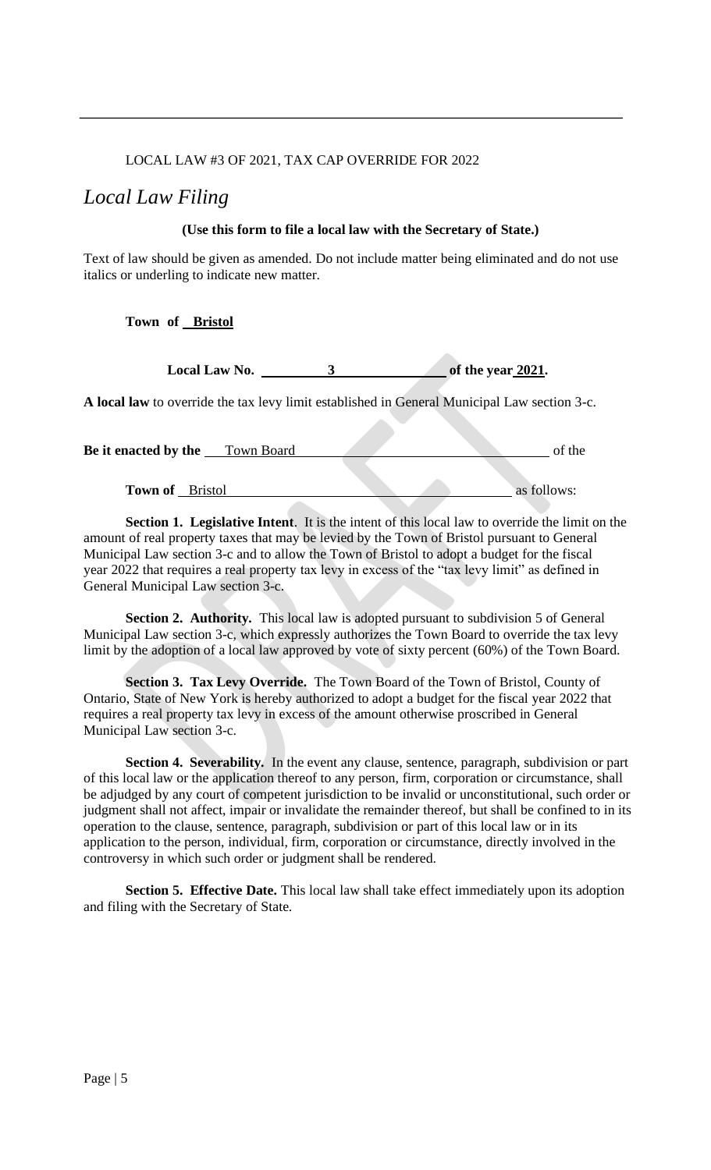## LOCAL LAW #3 OF 2021, TAX CAP OVERRIDE FOR 2022

# *Local Law Filing*

#### **(Use this form to file a local law with the Secretary of State.)**

Text of law should be given as amended. Do not include matter being eliminated and do not use italics or underling to indicate new matter.

#### **Town of Bristol**

**Local Law No.** 3 of the year 2021.

**A local law** to override the tax levy limit established in General Municipal Law section 3-c.

| Be it enacted by the   | Town Board |  | of the      |
|------------------------|------------|--|-------------|
|                        |            |  |             |
| <b>Town of</b> Bristol |            |  | as follows: |

**Section 1. Legislative Intent**. It is the intent of this local law to override the limit on the amount of real property taxes that may be levied by the Town of Bristol pursuant to General Municipal Law section 3-c and to allow the Town of Bristol to adopt a budget for the fiscal year 2022 that requires a real property tax levy in excess of the "tax levy limit" as defined in General Municipal Law section 3-c.

**Section 2. Authority.** This local law is adopted pursuant to subdivision 5 of General Municipal Law section 3-c, which expressly authorizes the Town Board to override the tax levy limit by the adoption of a local law approved by vote of sixty percent (60%) of the Town Board.

**Section 3. Tax Levy Override.** The Town Board of the Town of Bristol, County of Ontario, State of New York is hereby authorized to adopt a budget for the fiscal year 2022 that requires a real property tax levy in excess of the amount otherwise proscribed in General Municipal Law section 3-c.

**Section 4. Severability.** In the event any clause, sentence, paragraph, subdivision or part of this local law or the application thereof to any person, firm, corporation or circumstance, shall be adjudged by any court of competent jurisdiction to be invalid or unconstitutional, such order or judgment shall not affect, impair or invalidate the remainder thereof, but shall be confined to in its operation to the clause, sentence, paragraph, subdivision or part of this local law or in its application to the person, individual, firm, corporation or circumstance, directly involved in the controversy in which such order or judgment shall be rendered.

**Section 5. Effective Date.** This local law shall take effect immediately upon its adoption and filing with the Secretary of State.